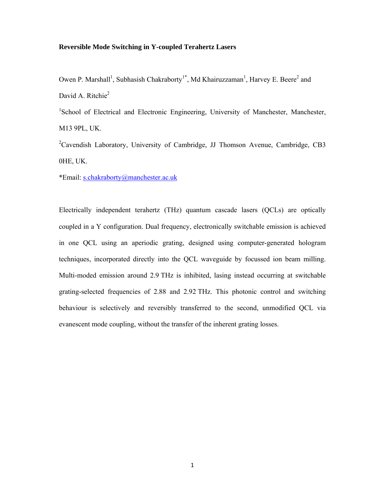## **Reversible Mode Switching in Y-coupled Terahertz Lasers**

Owen P. Marshall<sup>1</sup>, Subhasish Chakraborty<sup>1\*</sup>, Md Khairuzzaman<sup>1</sup>, Harvey E. Beere<sup>2</sup> and David A. Ritchie<sup>2</sup>

<sup>1</sup>School of Electrical and Electronic Engineering, University of Manchester, Manchester, M13 9PL, UK.

<sup>2</sup>Cavendish Laboratory, University of Cambridge, JJ Thomson Avenue, Cambridge, CB3 0HE, UK.

\*Email: s.chakraborty@manchester.ac.uk

Electrically independent terahertz (THz) quantum cascade lasers (QCLs) are optically coupled in a Y configuration. Dual frequency, electronically switchable emission is achieved in one QCL using an aperiodic grating, designed using computer-generated hologram techniques, incorporated directly into the QCL waveguide by focussed ion beam milling. Multi-moded emission around 2.9 THz is inhibited, lasing instead occurring at switchable grating-selected frequencies of 2.88 and 2.92 THz. This photonic control and switching behaviour is selectively and reversibly transferred to the second, unmodified QCL via evanescent mode coupling, without the transfer of the inherent grating losses.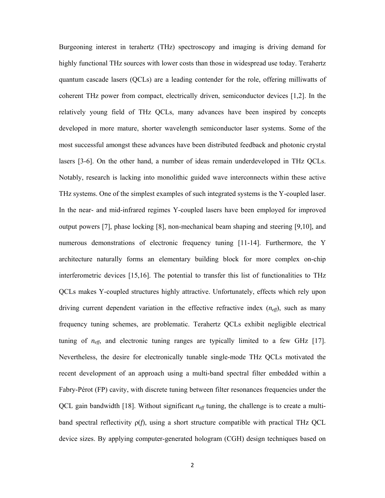Burgeoning interest in terahertz (THz) spectroscopy and imaging is driving demand for highly functional THz sources with lower costs than those in widespread use today. Terahertz quantum cascade lasers (QCLs) are a leading contender for the role, offering milliwatts of coherent THz power from compact, electrically driven, semiconductor devices [1,2]. In the relatively young field of THz QCLs, many advances have been inspired by concepts developed in more mature, shorter wavelength semiconductor laser systems. Some of the most successful amongst these advances have been distributed feedback and photonic crystal lasers [3-6]. On the other hand, a number of ideas remain underdeveloped in THz QCLs. Notably, research is lacking into monolithic guided wave interconnects within these active THz systems. One of the simplest examples of such integrated systems is the Y-coupled laser. In the near- and mid-infrared regimes Y-coupled lasers have been employed for improved output powers [7], phase locking [8], non-mechanical beam shaping and steering [9,10], and numerous demonstrations of electronic frequency tuning [11-14]. Furthermore, the Y architecture naturally forms an elementary building block for more complex on-chip interferometric devices [15,16]. The potential to transfer this list of functionalities to THz QCLs makes Y-coupled structures highly attractive. Unfortunately, effects which rely upon driving current dependent variation in the effective refractive index (*n<sub>eff</sub>*), such as many frequency tuning schemes, are problematic. Terahertz QCLs exhibit negligible electrical tuning of  $n_{\text{eff}}$ , and electronic tuning ranges are typically limited to a few GHz [17]. Nevertheless, the desire for electronically tunable single-mode THz QCLs motivated the recent development of an approach using a multi-band spectral filter embedded within a Fabry-Pérot (FP) cavity, with discrete tuning between filter resonances frequencies under the QCL gain bandwidth [18]. Without significant  $n_{\text{eff}}$  tuning, the challenge is to create a multiband spectral reflectivity  $\rho(f)$ , using a short structure compatible with practical THz QCL device sizes. By applying computer-generated hologram (CGH) design techniques based on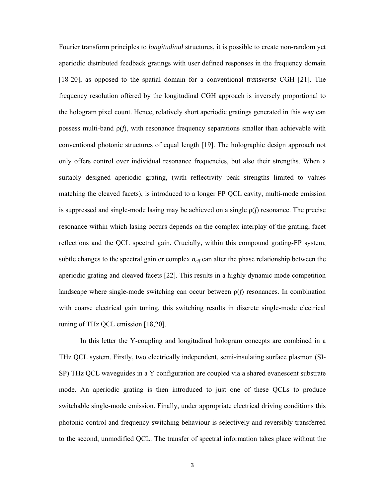Fourier transform principles to *longitudinal* structures, it is possible to create non-random yet aperiodic distributed feedback gratings with user defined responses in the frequency domain [18-20], as opposed to the spatial domain for a conventional *transverse* CGH [21]. The frequency resolution offered by the longitudinal CGH approach is inversely proportional to the hologram pixel count. Hence, relatively short aperiodic gratings generated in this way can possess multi-band ρ(*f*), with resonance frequency separations smaller than achievable with conventional photonic structures of equal length [19]. The holographic design approach not only offers control over individual resonance frequencies, but also their strengths. When a suitably designed aperiodic grating, (with reflectivity peak strengths limited to values matching the cleaved facets), is introduced to a longer FP QCL cavity, multi-mode emission is suppressed and single-mode lasing may be achieved on a single ρ(*f*) resonance. The precise resonance within which lasing occurs depends on the complex interplay of the grating, facet reflections and the QCL spectral gain. Crucially, within this compound grating-FP system, subtle changes to the spectral gain or complex  $n_{\text{eff}}$  can alter the phase relationship between the aperiodic grating and cleaved facets [22]. This results in a highly dynamic mode competition landscape where single-mode switching can occur between ρ(*f*) resonances. In combination with coarse electrical gain tuning, this switching results in discrete single-mode electrical tuning of THz QCL emission [18,20].

 In this letter the Y-coupling and longitudinal hologram concepts are combined in a THz QCL system. Firstly, two electrically independent, semi-insulating surface plasmon (SI-SP) THz QCL waveguides in a Y configuration are coupled via a shared evanescent substrate mode. An aperiodic grating is then introduced to just one of these QCLs to produce switchable single-mode emission. Finally, under appropriate electrical driving conditions this photonic control and frequency switching behaviour is selectively and reversibly transferred to the second, unmodified QCL. The transfer of spectral information takes place without the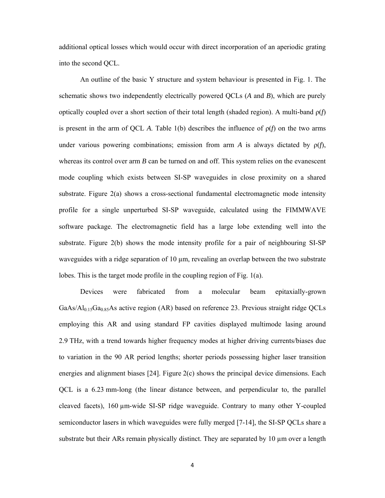additional optical losses which would occur with direct incorporation of an aperiodic grating into the second QCL.

An outline of the basic Y structure and system behaviour is presented in Fig. 1. The schematic shows two independently electrically powered QCLs (*A* and *B*), which are purely optically coupled over a short section of their total length (shaded region). A multi-band ρ(*f*) is present in the arm of QCL *A*. Table 1(b) describes the influence of  $\rho(f)$  on the two arms under various powering combinations; emission from arm *A* is always dictated by  $\rho(f)$ , whereas its control over arm *B* can be turned on and off. This system relies on the evanescent mode coupling which exists between SI-SP waveguides in close proximity on a shared substrate. Figure 2(a) shows a cross-sectional fundamental electromagnetic mode intensity profile for a single unperturbed SI-SP waveguide, calculated using the FIMMWAVE software package. The electromagnetic field has a large lobe extending well into the substrate. Figure 2(b) shows the mode intensity profile for a pair of neighbouring SI-SP waveguides with a ridge separation of 10 µm, revealing an overlap between the two substrate lobes. This is the target mode profile in the coupling region of Fig. 1(a).

Devices were fabricated from a molecular beam epitaxially-grown  $GaAs/Al<sub>0.15</sub>Ga<sub>0.85</sub>As active region (AR) based on reference 23. Previous straight ridge QCLS$ employing this AR and using standard FP cavities displayed multimode lasing around 2.9 THz, with a trend towards higher frequency modes at higher driving currents/biases due to variation in the 90 AR period lengths; shorter periods possessing higher laser transition energies and alignment biases  $[24]$ . Figure  $2(c)$  shows the principal device dimensions. Each QCL is a 6.23 mm-long (the linear distance between, and perpendicular to, the parallel cleaved facets), 160 µm-wide SI-SP ridge waveguide. Contrary to many other Y-coupled semiconductor lasers in which waveguides were fully merged [7-14], the SI-SP QCLs share a substrate but their ARs remain physically distinct. They are separated by  $10 \mu m$  over a length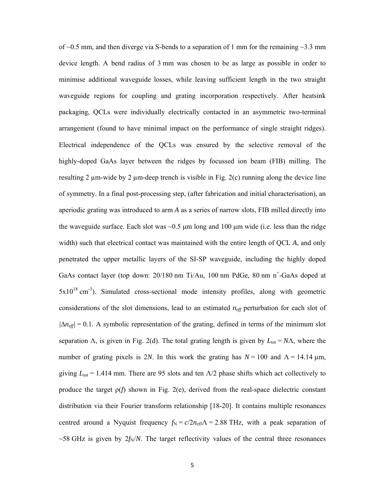of  $\sim$ 0.5 mm, and then diverge via S-bends to a separation of 1 mm for the remaining  $\sim$ 3.3 mm device length. A bend radius of 3 mm was chosen to be as large as possible in order to minimise additional waveguide losses, while leaving sufficient length in the two straight waveguide regions for coupling and grating incorporation respectively. After heatsink packaging, QCLs were individually electrically contacted in an asymmetric two-terminal arrangement (found to have minimal impact on the performance of single straight ridges). Electrical independence of the QCLs was ensured by the selective removal of the highly-doped GaAs layer between the ridges by focussed ion beam (FIB) milling. The resulting 2  $\mu$ m-wide by 2  $\mu$ m-deep trench is visible in Fig. 2(c) running along the device line of symmetry. In a final post-processing step, (after fabrication and initial characterisation), an aperiodic grating was introduced to arm *A* as a series of narrow slots, FIB milled directly into the waveguide surface. Each slot was  $\sim 0.5$  μm long and 100 μm wide (i.e. less than the ridge width) such that electrical contact was maintained with the entire length of QCL *A*, and only penetrated the upper metallic layers of the SI-SP waveguide, including the highly doped GaAs contact layer (top down:  $20/180$  nm Ti/Au, 100 nm PdGe, 80 nm n<sup>+</sup>-GaAs doped at  $5x10^{18}$  cm<sup>-3</sup>). Simulated cross-sectional mode intensity profiles, along with geometric considerations of the slot dimensions, lead to an estimated *neff* perturbation for each slot of *|*∆*neff|* = 0.1. A symbolic representation of the grating, defined in terms of the minimum slot separation  $\Lambda$ , is given in Fig. 2(d). The total grating length is given by  $L_{\text{tot}} = N\Lambda$ , where the number of grating pixels is 2*N*. In this work the grating has  $N = 100$  and  $\Lambda = 14.14 \mu m$ , giving  $L_{\text{tot}} = 1.414$  mm. There are 95 slots and ten  $\Lambda/2$  phase shifts which act collectively to produce the target ρ(*f*) shown in Fig. 2(e), derived from the real-space dielectric constant distribution via their Fourier transform relationship [18-20]. It contains multiple resonances centred around a Nyquist frequency  $f_N = c/2n_{\text{eff}}\Lambda = 2.88$  THz, with a peak separation of  $\sim$ 58 GHz is given by  $2f_N/N$ . The target reflectivity values of the central three resonances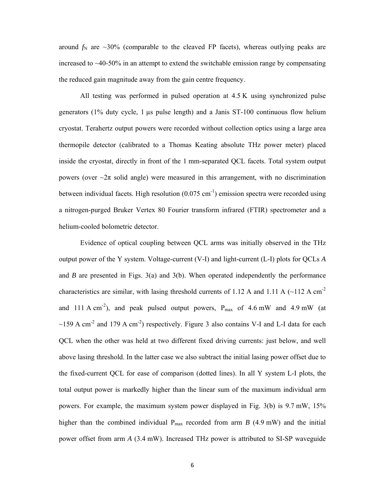around  $f_N$  are  $\sim$ 30% (comparable to the cleaved FP facets), whereas outlying peaks are increased to  $\sim$ 40-50% in an attempt to extend the switchable emission range by compensating the reduced gain magnitude away from the gain centre frequency.

All testing was performed in pulsed operation at 4.5 K using synchronized pulse generators (1% duty cycle, 1 µs pulse length) and a Janis ST-100 continuous flow helium cryostat. Terahertz output powers were recorded without collection optics using a large area thermopile detector (calibrated to a Thomas Keating absolute THz power meter) placed inside the cryostat, directly in front of the 1 mm-separated QCL facets. Total system output powers (over  $\sim 2\pi$  solid angle) were measured in this arrangement, with no discrimination between individual facets. High resolution  $(0.075 \text{ cm}^{-1})$  emission spectra were recorded using a nitrogen-purged Bruker Vertex 80 Fourier transform infrared (FTIR) spectrometer and a helium-cooled bolometric detector.

 Evidence of optical coupling between QCL arms was initially observed in the THz output power of the Y system. Voltage-current (V-I) and light-current (L-I) plots for QCLs *A* and *B* are presented in Figs. 3(a) and 3(b). When operated independently the performance characteristics are similar, with lasing threshold currents of 1.12 A and 1.11 A  $(\sim$ 112 A cm<sup>-2</sup> and 111 A cm<sup>-2</sup>), and peak pulsed output powers,  $P_{max}$  of 4.6 mW and 4.9 mW (at  $\sim$ 159 A cm<sup>-2</sup> and 179 A cm<sup>-2</sup>) respectively. Figure 3 also contains V-I and L-I data for each QCL when the other was held at two different fixed driving currents: just below, and well above lasing threshold. In the latter case we also subtract the initial lasing power offset due to the fixed-current QCL for ease of comparison (dotted lines). In all Y system L-I plots, the total output power is markedly higher than the linear sum of the maximum individual arm powers. For example, the maximum system power displayed in Fig. 3(b) is 9.7 mW, 15% higher than the combined individual  $P_{\text{max}}$  recorded from arm *B* (4.9 mW) and the initial power offset from arm *A* (3.4 mW). Increased THz power is attributed to SI-SP waveguide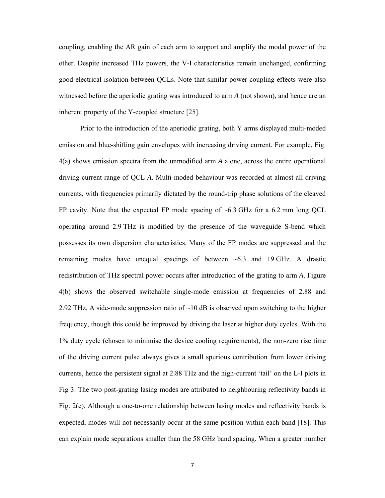coupling, enabling the AR gain of each arm to support and amplify the modal power of the other. Despite increased THz powers, the V-I characteristics remain unchanged, confirming good electrical isolation between QCLs. Note that similar power coupling effects were also witnessed before the aperiodic grating was introduced to arm *A* (not shown), and hence are an inherent property of the Y-coupled structure [25].

Prior to the introduction of the aperiodic grating, both Y arms displayed multi-moded emission and blue-shifting gain envelopes with increasing driving current. For example, Fig. 4(a) shows emission spectra from the unmodified arm *A* alone, across the entire operational driving current range of QCL *A*. Multi-moded behaviour was recorded at almost all driving currents, with frequencies primarily dictated by the round-trip phase solutions of the cleaved FP cavity. Note that the expected FP mode spacing of  $\sim 6.3$  GHz for a 6.2 mm long QCL operating around 2.9 THz is modified by the presence of the waveguide S-bend which possesses its own dispersion characteristics. Many of the FP modes are suppressed and the remaining modes have unequal spacings of between ~6.3 and 19 GHz. A drastic redistribution of THz spectral power occurs after introduction of the grating to arm *A*. Figure 4(b) shows the observed switchable single-mode emission at frequencies of 2.88 and 2.92 THz. A side-mode suppression ratio of  $~10$  dB is observed upon switching to the higher frequency, though this could be improved by driving the laser at higher duty cycles. With the 1% duty cycle (chosen to minimise the device cooling requirements), the non-zero rise time of the driving current pulse always gives a small spurious contribution from lower driving currents, hence the persistent signal at 2.88 THz and the high-current 'tail' on the L-I plots in Fig 3. The two post-grating lasing modes are attributed to neighbouring reflectivity bands in Fig. 2(e). Although a one-to-one relationship between lasing modes and reflectivity bands is expected, modes will not necessarily occur at the same position within each band [18]. This can explain mode separations smaller than the 58 GHz band spacing. When a greater number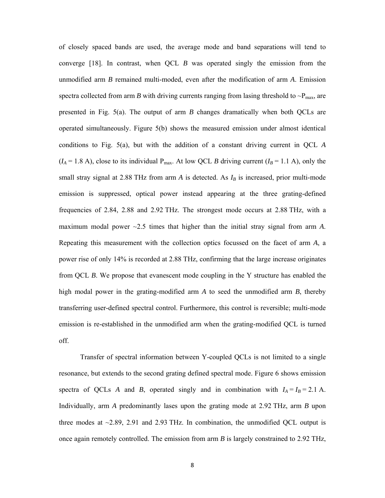of closely spaced bands are used, the average mode and band separations will tend to converge [18]. In contrast, when QCL *B* was operated singly the emission from the unmodified arm *B* remained multi-moded, even after the modification of arm *A*. Emission spectra collected from arm *B* with driving currents ranging from lasing threshold to  $\sim P_{\text{max}}$ , are presented in Fig. 5(a). The output of arm *B* changes dramatically when both QCLs are operated simultaneously. Figure 5(b) shows the measured emission under almost identical conditions to Fig. 5(a), but with the addition of a constant driving current in QCL *A*  $(I_A = 1.8 \text{ A})$ , close to its individual P<sub>max</sub>. At low QCL *B* driving current  $(I_B = 1.1 \text{ A})$ , only the small stray signal at 2.88 THz from arm  $A$  is detected. As  $I_B$  is increased, prior multi-mode emission is suppressed, optical power instead appearing at the three grating-defined frequencies of 2.84, 2.88 and 2.92 THz. The strongest mode occurs at 2.88 THz, with a maximum modal power  $\sim$ 2.5 times that higher than the initial stray signal from arm *A*. Repeating this measurement with the collection optics focussed on the facet of arm *A*, a power rise of only 14% is recorded at 2.88 THz, confirming that the large increase originates from QCL *B*. We propose that evanescent mode coupling in the Y structure has enabled the high modal power in the grating-modified arm *A* to seed the unmodified arm *B*, thereby transferring user-defined spectral control. Furthermore, this control is reversible; multi-mode emission is re-established in the unmodified arm when the grating-modified QCL is turned off.

Transfer of spectral information between Y-coupled QCLs is not limited to a single resonance, but extends to the second grating defined spectral mode. Figure 6 shows emission spectra of QCLs *A* and *B*, operated singly and in combination with  $I_A = I_B = 2.1$  A. Individually, arm *A* predominantly lases upon the grating mode at 2.92 THz, arm *B* upon three modes at  $\sim$ 2.89, 2.91 and 2.93 THz. In combination, the unmodified QCL output is once again remotely controlled. The emission from arm *B* is largely constrained to 2.92 THz,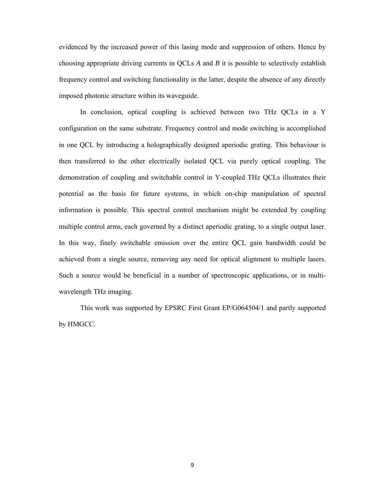evidenced by the increased power of this lasing mode and suppression of others. Hence by choosing appropriate driving currents in QCLs *A* and *B* it is possible to selectively establish frequency control and switching functionality in the latter, despite the absence of any directly imposed photonic structure within its waveguide.

In conclusion, optical coupling is achieved between two THz QCLs in a Y configuration on the same substrate. Frequency control and mode switching is accomplished in one QCL by introducing a holographically designed aperiodic grating. This behaviour is then transferred to the other electrically isolated QCL via purely optical coupling. The demonstration of coupling and switchable control in Y-coupled THz QCLs illustrates their potential as the basis for future systems, in which on-chip manipulation of spectral information is possible. This spectral control mechanism might be extended by coupling multiple control arms, each governed by a distinct aperiodic grating, to a single output laser. In this way, finely switchable emission over the entire QCL gain bandwidth could be achieved from a single source, removing any need for optical alignment to multiple lasers. Such a source would be beneficial in a number of spectroscopic applications, or in multiwavelength THz imaging.

This work was supported by EPSRC First Grant EP/G064504/1 and partly supported by HMGCC.

9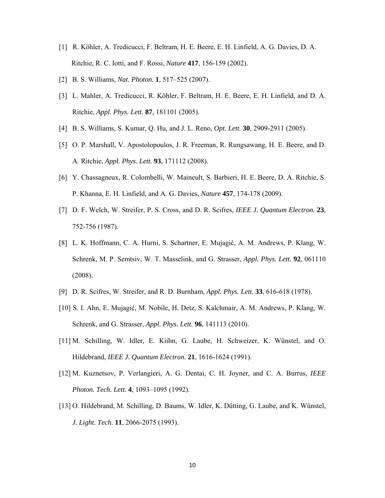- [1] R. Köhler, A. Tredicucci, F. Beltram, H. E. Beere, E. H. Linfield, A. G. Davies, D. A. Ritchie, R. C. Iotti, and F. Rossi, *Nature* **417**, 156-159 (2002).
- [2] B. S. Williams, *Nat. Photon.* **1**, 517–525 (2007).
- [3] L. Mahler, A. Tredicucci, R. Köhler, F. Beltram, H. E. Beere, E. H. Linfield, and D. A. Ritchie, *Appl. Phys. Lett.* **87**, 181101 (2005).
- [4] B. S. Williams, S. Kumar, Q. Hu, and J. L. Reno, *Opt. Lett.* **30**, 2909-2911 (2005).
- [5] O. P. Marshall, V. Apostolopoulos, J. R. Freeman, R. Rungsawang, H. E. Beere, and D. A. Ritchie, *Appl. Phys. Lett.* **93**, 171112 (2008).
- [6] Y. Chassagneux, R. Colombelli, W. Maineult, S. Barbieri, H. E. Beere, D. A. Ritchie, S. P. Khanna, E. H. Linfield, and A. G. Davies, *Nature* **457**, 174-178 (2009).
- [7] D. F. Welch, W. Streifer, P. S. Cross, and D. R. Scifres, *IEEE J. Quantum Electron.* **23**, 752-756 (1987).
- [8] L. K. Hoffmann, C. A. Hurni, S. Schartner, E. Mujagić, A. M. Andrews, P. Klang, W. Schrenk, M. P. Semtsiv, W. T. Masselink, and G. Strasser, *Appl. Phys. Lett.* **92**, 061110 (2008).
- [9] D. R. Scifres, W. Streifer, and R. D. Burnham, *Appl. Phys. Lett.* **33**, 616-618 (1978).
- [10] S. I. Ahn, E. Mujagić, M. Nobile, H. Detz, S. Kalchmair, A. M. Andrews, P. Klang, W. Schrenk, and G. Strasser, *Appl. Phys. Lett.* **96**, 141113 (2010).
- [11] M. Schilling, W. Idler, E. Kiihn, G. Laube, H. Schweizer, K. Wünstel, and O. Hildebrand, *IEEE J. Quantum Electron.* **21**, 1616-1624 (1991).
- [12] M. Kuznetsov, P. Verlangieri, A. G. Dentai, C. H. Joyner, and C. A. Burrus, *IEEE Photon. Tech. Lett.* **4**, 1093–1095 (1992).
- [13] O. Hildebrand, M. Schilling, D. Baums, W. Idler, K. Dütting, G. Laube, and K. Wünstel, *J. Light. Tech*. **11**, 2066-2075 (1993).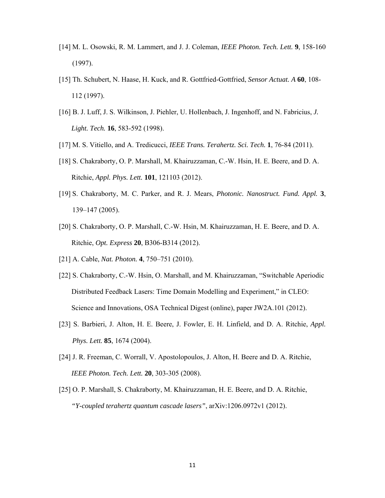- [14] M. L. Osowski, R. M. Lammert, and J. J. Coleman, *IEEE Photon. Tech. Lett.* **9**, 158-160 (1997).
- [15] Th. Schubert, N. Haase, H. Kuck, and R. Gottfried-Gottfried, *Sensor Actuat. A* **60**, 108- 112 (1997).
- [16] B. J. Luff, J. S. Wilkinson, J. Piehler, U. Hollenbach, J. Ingenhoff, and N. Fabricius, *J. Light. Tech.* **16**, 583-592 (1998).
- [17] M. S. Vitiello, and A. Tredicucci, *IEEE Trans. Terahertz. Sci. Tech.* **1**, 76-84 (2011).
- [18] S. Chakraborty, O. P. Marshall, M. Khairuzzaman, C.-W. Hsin, H. E. Beere, and D. A. Ritchie, *Appl. Phys. Lett.* **101**, 121103 (2012).
- [19] S. Chakraborty, M. C. Parker, and R. J. Mears, *Photonic. Nanostruct. Fund. Appl.* **3**, 139–147 (2005).
- [20] S. Chakraborty, O. P. Marshall, C.-W. Hsin, M. Khairuzzaman, H. E. Beere, and D. A. Ritchie, *Opt. Express* **20**, B306-B314 (2012).
- [21] A. Cable, *Nat. Photon.* **4**, 750–751 (2010).
- [22] S. Chakraborty, C.-W. Hsin, O. Marshall, and M. Khairuzzaman, "Switchable Aperiodic Distributed Feedback Lasers: Time Domain Modelling and Experiment," in CLEO: Science and Innovations, OSA Technical Digest (online), paper JW2A.101 (2012).
- [23] S. Barbieri, J. Alton, H. E. Beere, J. Fowler, E. H. Linfield, and D. A. Ritchie, *Appl. Phys. Lett.* **85**, 1674 (2004).
- [24] J. R. Freeman, C. Worrall, V. Apostolopoulos, J. Alton, H. Beere and D. A. Ritchie, *IEEE Photon. Tech. Lett.* **20**, 303-305 (2008).
- [25] O. P. Marshall, S. Chakraborty, M. Khairuzzaman, H. E. Beere, and D. A. Ritchie, *"Y-coupled terahertz quantum cascade lasers"*, arXiv:1206.0972v1 (2012).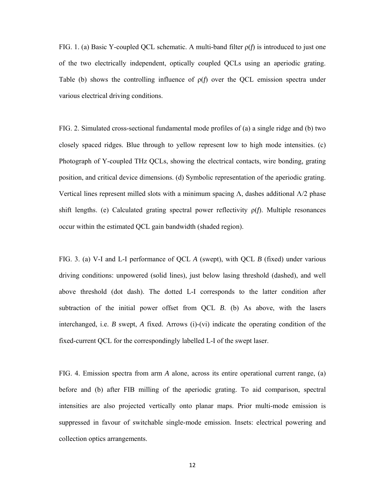FIG. 1. (a) Basic Y-coupled QCL schematic. A multi-band filter ρ(*f*) is introduced to just one of the two electrically independent, optically coupled QCLs using an aperiodic grating. Table (b) shows the controlling influence of ρ(*f*) over the QCL emission spectra under various electrical driving conditions.

FIG. 2. Simulated cross-sectional fundamental mode profiles of (a) a single ridge and (b) two closely spaced ridges. Blue through to yellow represent low to high mode intensities. (c) Photograph of Y-coupled THz QCLs, showing the electrical contacts, wire bonding, grating position, and critical device dimensions. (d) Symbolic representation of the aperiodic grating. Vertical lines represent milled slots with a minimum spacing  $\Lambda$ , dashes additional  $\Lambda/2$  phase shift lengths. (e) Calculated grating spectral power reflectivity  $\rho(f)$ . Multiple resonances occur within the estimated QCL gain bandwidth (shaded region).

FIG. 3. (a) V-I and L-I performance of QCL *A* (swept), with QCL *B* (fixed) under various driving conditions: unpowered (solid lines), just below lasing threshold (dashed), and well above threshold (dot dash). The dotted L-I corresponds to the latter condition after subtraction of the initial power offset from QCL *B*. (b) As above, with the lasers interchanged, i.e. *B* swept, *A* fixed. Arrows (i)-(vi) indicate the operating condition of the fixed-current QCL for the correspondingly labelled L-I of the swept laser.

FIG. 4. Emission spectra from arm *A* alone, across its entire operational current range, (a) before and (b) after FIB milling of the aperiodic grating. To aid comparison, spectral intensities are also projected vertically onto planar maps. Prior multi-mode emission is suppressed in favour of switchable single-mode emission. Insets: electrical powering and collection optics arrangements.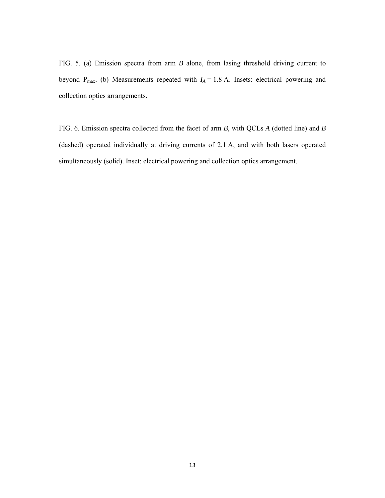FIG. 5. (a) Emission spectra from arm *B* alone, from lasing threshold driving current to beyond P<sub>max</sub>. (b) Measurements repeated with  $I_A = 1.8$  A. Insets: electrical powering and collection optics arrangements.

FIG. 6. Emission spectra collected from the facet of arm *B*, with QCLs *A* (dotted line) and *B* (dashed) operated individually at driving currents of 2.1 A, and with both lasers operated simultaneously (solid). Inset: electrical powering and collection optics arrangement.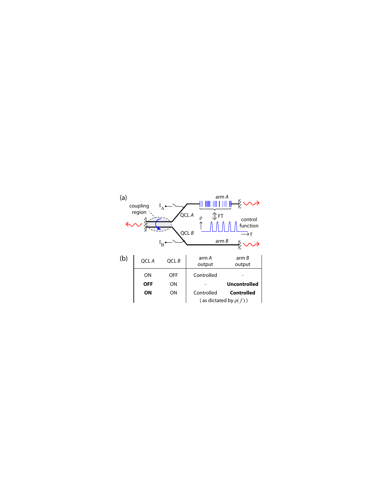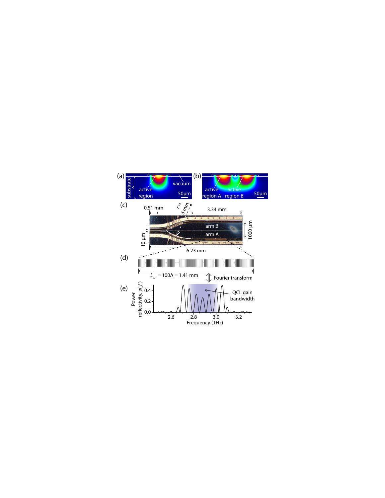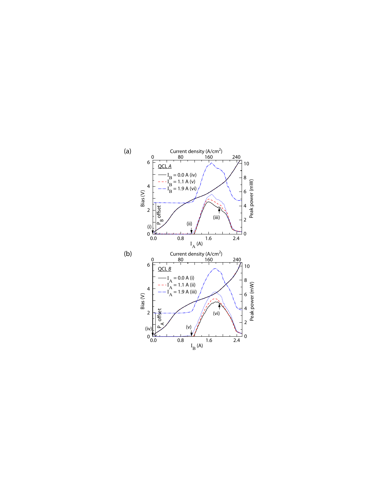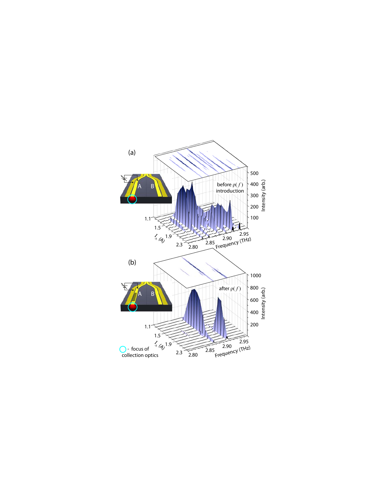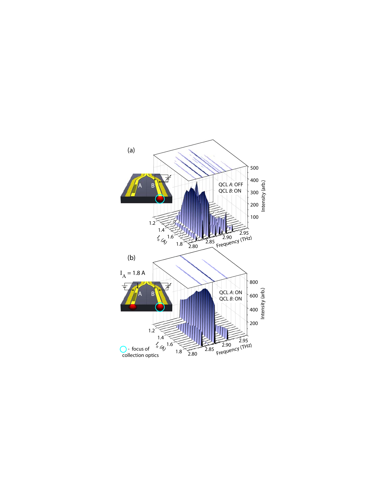